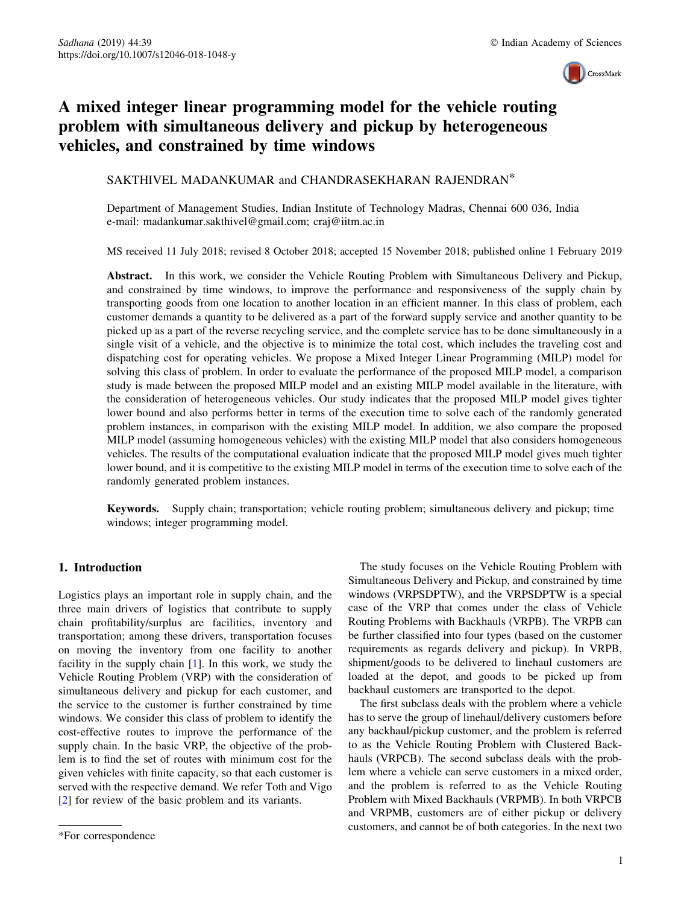

# A mixed integer linear programming model for the vehicle routing problem with simultaneous delivery and pickup by heterogeneous vehicles, and constrained by time windows

SAKTHIVEL MADANKUMAR and CHANDRASEKHARAN RAJENDRAN\*

Department of Management Studies, Indian Institute of Technology Madras, Chennai 600 036, India e-mail: madankumar.sakthivel@gmail.com; craj@iitm.ac.in

MS received 11 July 2018; revised 8 October 2018; accepted 15 November 2018; published online 1 February 2019

Abstract. In this work, we consider the Vehicle Routing Problem with Simultaneous Delivery and Pickup, and constrained by time windows, to improve the performance and responsiveness of the supply chain by transporting goods from one location to another location in an efficient manner. In this class of problem, each customer demands a quantity to be delivered as a part of the forward supply service and another quantity to be picked up as a part of the reverse recycling service, and the complete service has to be done simultaneously in a single visit of a vehicle, and the objective is to minimize the total cost, which includes the traveling cost and dispatching cost for operating vehicles. We propose a Mixed Integer Linear Programming (MILP) model for solving this class of problem. In order to evaluate the performance of the proposed MILP model, a comparison study is made between the proposed MILP model and an existing MILP model available in the literature, with the consideration of heterogeneous vehicles. Our study indicates that the proposed MILP model gives tighter lower bound and also performs better in terms of the execution time to solve each of the randomly generated problem instances, in comparison with the existing MILP model. In addition, we also compare the proposed MILP model (assuming homogeneous vehicles) with the existing MILP model that also considers homogeneous vehicles. The results of the computational evaluation indicate that the proposed MILP model gives much tighter lower bound, and it is competitive to the existing MILP model in terms of the execution time to solve each of the randomly generated problem instances.

Keywords. Supply chain; transportation; vehicle routing problem; simultaneous delivery and pickup; time windows; integer programming model.

## 1. Introduction

Logistics plays an important role in supply chain, and the three main drivers of logistics that contribute to supply chain profitability/surplus are facilities, inventory and transportation; among these drivers, transportation focuses on moving the inventory from one facility to another facility in the supply chain [\[1](#page-13-0)]. In this work, we study the Vehicle Routing Problem (VRP) with the consideration of simultaneous delivery and pickup for each customer, and the service to the customer is further constrained by time windows. We consider this class of problem to identify the cost-effective routes to improve the performance of the supply chain. In the basic VRP, the objective of the problem is to find the set of routes with minimum cost for the given vehicles with finite capacity, so that each customer is served with the respective demand. We refer Toth and Vigo [\[2](#page-13-0)] for review of the basic problem and its variants.

The study focuses on the Vehicle Routing Problem with Simultaneous Delivery and Pickup, and constrained by time windows (VRPSDPTW), and the VRPSDPTW is a special case of the VRP that comes under the class of Vehicle Routing Problems with Backhauls (VRPB). The VRPB can be further classified into four types (based on the customer requirements as regards delivery and pickup). In VRPB, shipment/goods to be delivered to linehaul customers are loaded at the depot, and goods to be picked up from backhaul customers are transported to the depot.

The first subclass deals with the problem where a vehicle has to serve the group of linehaul/delivery customers before any backhaul/pickup customer, and the problem is referred to as the Vehicle Routing Problem with Clustered Backhauls (VRPCB). The second subclass deals with the problem where a vehicle can serve customers in a mixed order, and the problem is referred to as the Vehicle Routing Problem with Mixed Backhauls (VRPMB). In both VRPCB and VRPMB, customers are of either pickup or delivery customers, and cannot be of both categories. In the next two \*For correspondence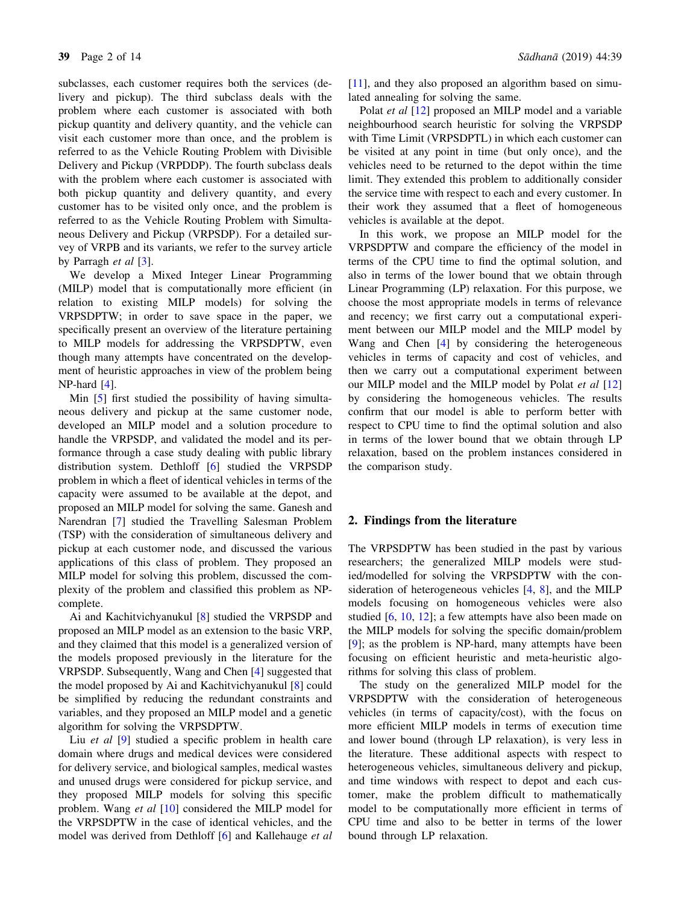subclasses, each customer requires both the services (delivery and pickup). The third subclass deals with the problem where each customer is associated with both pickup quantity and delivery quantity, and the vehicle can visit each customer more than once, and the problem is referred to as the Vehicle Routing Problem with Divisible Delivery and Pickup (VRPDDP). The fourth subclass deals with the problem where each customer is associated with both pickup quantity and delivery quantity, and every customer has to be visited only once, and the problem is referred to as the Vehicle Routing Problem with Simultaneous Delivery and Pickup (VRPSDP). For a detailed survey of VRPB and its variants, we refer to the survey article by Parragh et al [[3\]](#page-13-0).

We develop a Mixed Integer Linear Programming (MILP) model that is computationally more efficient (in relation to existing MILP models) for solving the VRPSDPTW; in order to save space in the paper, we specifically present an overview of the literature pertaining to MILP models for addressing the VRPSDPTW, even though many attempts have concentrated on the development of heuristic approaches in view of the problem being NP-hard [\[4](#page-13-0)].

Min [\[5](#page-13-0)] first studied the possibility of having simultaneous delivery and pickup at the same customer node, developed an MILP model and a solution procedure to handle the VRPSDP, and validated the model and its performance through a case study dealing with public library distribution system. Dethloff [\[6](#page-13-0)] studied the VRPSDP problem in which a fleet of identical vehicles in terms of the capacity were assumed to be available at the depot, and proposed an MILP model for solving the same. Ganesh and Narendran [[7\]](#page-13-0) studied the Travelling Salesman Problem (TSP) with the consideration of simultaneous delivery and pickup at each customer node, and discussed the various applications of this class of problem. They proposed an MILP model for solving this problem, discussed the complexity of the problem and classified this problem as NPcomplete.

Ai and Kachitvichyanukul [\[8](#page-13-0)] studied the VRPSDP and proposed an MILP model as an extension to the basic VRP, and they claimed that this model is a generalized version of the models proposed previously in the literature for the VRPSDP. Subsequently, Wang and Chen [[4\]](#page-13-0) suggested that the model proposed by Ai and Kachitvichyanukul [\[8](#page-13-0)] could be simplified by reducing the redundant constraints and variables, and they proposed an MILP model and a genetic algorithm for solving the VRPSDPTW.

Liu et al [\[9](#page-13-0)] studied a specific problem in health care domain where drugs and medical devices were considered for delivery service, and biological samples, medical wastes and unused drugs were considered for pickup service, and they proposed MILP models for solving this specific problem. Wang et al [\[10](#page-13-0)] considered the MILP model for the VRPSDPTW in the case of identical vehicles, and the model was derived from Dethloff [\[6](#page-13-0)] and Kallehauge et al

[\[11](#page-13-0)], and they also proposed an algorithm based on simulated annealing for solving the same.

Polat *et al* [[12\]](#page-13-0) proposed an MILP model and a variable neighbourhood search heuristic for solving the VRPSDP with Time Limit (VRPSDPTL) in which each customer can be visited at any point in time (but only once), and the vehicles need to be returned to the depot within the time limit. They extended this problem to additionally consider the service time with respect to each and every customer. In their work they assumed that a fleet of homogeneous vehicles is available at the depot.

In this work, we propose an MILP model for the VRPSDPTW and compare the efficiency of the model in terms of the CPU time to find the optimal solution, and also in terms of the lower bound that we obtain through Linear Programming (LP) relaxation. For this purpose, we choose the most appropriate models in terms of relevance and recency; we first carry out a computational experiment between our MILP model and the MILP model by Wang and Chen [\[4](#page-13-0)] by considering the heterogeneous vehicles in terms of capacity and cost of vehicles, and then we carry out a computational experiment between our MILP model and the MILP model by Polat et al [[12\]](#page-13-0) by considering the homogeneous vehicles. The results confirm that our model is able to perform better with respect to CPU time to find the optimal solution and also in terms of the lower bound that we obtain through LP relaxation, based on the problem instances considered in the comparison study.

#### 2. Findings from the literature

The VRPSDPTW has been studied in the past by various researchers; the generalized MILP models were studied/modelled for solving the VRPSDPTW with the consideration of heterogeneous vehicles [[4,](#page-13-0) [8](#page-13-0)], and the MILP models focusing on homogeneous vehicles were also studied [[6,](#page-13-0) [10](#page-13-0), [12\]](#page-13-0); a few attempts have also been made on the MILP models for solving the specific domain/problem [\[9](#page-13-0)]; as the problem is NP-hard, many attempts have been focusing on efficient heuristic and meta-heuristic algorithms for solving this class of problem.

The study on the generalized MILP model for the VRPSDPTW with the consideration of heterogeneous vehicles (in terms of capacity/cost), with the focus on more efficient MILP models in terms of execution time and lower bound (through LP relaxation), is very less in the literature. These additional aspects with respect to heterogeneous vehicles, simultaneous delivery and pickup, and time windows with respect to depot and each customer, make the problem difficult to mathematically model to be computationally more efficient in terms of CPU time and also to be better in terms of the lower bound through LP relaxation.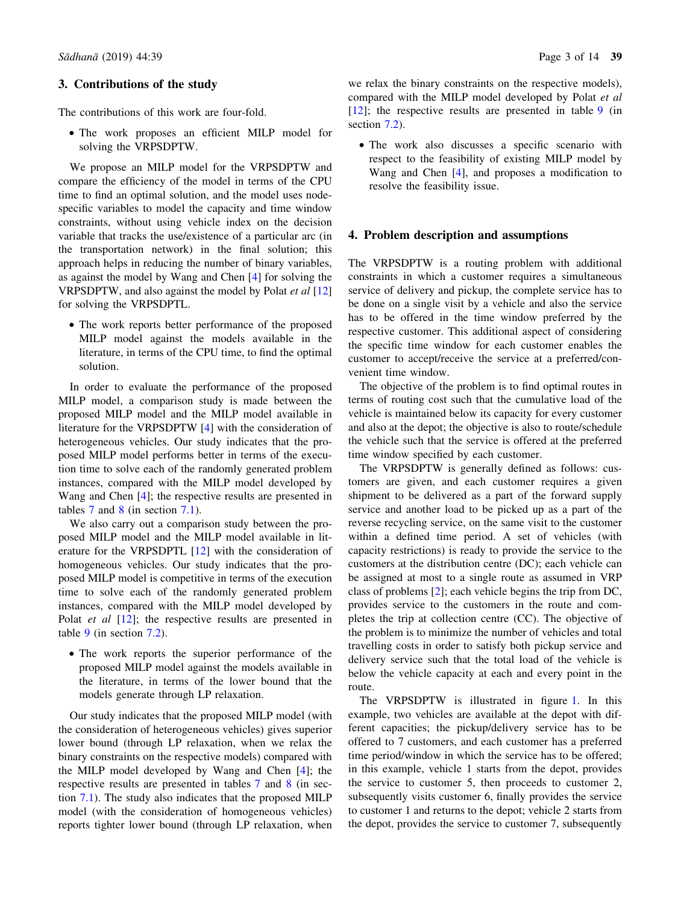#### 3. Contributions of the study

The contributions of this work are four-fold.

• The work proposes an efficient MILP model for solving the VRPSDPTW.

We propose an MILP model for the VRPSDPTW and compare the efficiency of the model in terms of the CPU time to find an optimal solution, and the model uses nodespecific variables to model the capacity and time window constraints, without using vehicle index on the decision variable that tracks the use/existence of a particular arc (in the transportation network) in the final solution; this approach helps in reducing the number of binary variables, as against the model by Wang and Chen [\[4](#page-13-0)] for solving the VRPSDPTW, and also against the model by Polat et al [\[12](#page-13-0)] for solving the VRPSDPTL.

• The work reports better performance of the proposed MILP model against the models available in the literature, in terms of the CPU time, to find the optimal solution.

In order to evaluate the performance of the proposed MILP model, a comparison study is made between the proposed MILP model and the MILP model available in literature for the VRPSDPTW [[4\]](#page-13-0) with the consideration of heterogeneous vehicles. Our study indicates that the proposed MILP model performs better in terms of the execution time to solve each of the randomly generated problem instances, compared with the MILP model developed by Wang and Chen [\[4](#page-13-0)]; the respective results are presented in tables  $7$  and  $8$  (in section  $7.1$ ).

We also carry out a comparison study between the proposed MILP model and the MILP model available in literature for the VRPSDPTL [\[12](#page-13-0)] with the consideration of homogeneous vehicles. Our study indicates that the proposed MILP model is competitive in terms of the execution time to solve each of the randomly generated problem instances, compared with the MILP model developed by Polat *et al* [[12\]](#page-13-0); the respective results are presented in table [9](#page-11-0) (in section [7.2\)](#page-10-0).

• The work reports the superior performance of the proposed MILP model against the models available in the literature, in terms of the lower bound that the models generate through LP relaxation.

Our study indicates that the proposed MILP model (with the consideration of heterogeneous vehicles) gives superior lower bound (through LP relaxation, when we relax the binary constraints on the respective models) compared with the MILP model developed by Wang and Chen [[4\]](#page-13-0); the respective results are presented in tables [7](#page-9-0) and [8](#page-10-0) (in section [7.1](#page-9-0)). The study also indicates that the proposed MILP model (with the consideration of homogeneous vehicles) reports tighter lower bound (through LP relaxation, when

we relax the binary constraints on the respective models), compared with the MILP model developed by Polat et al  $[12]$  $[12]$ ; the respective results are presented in table [9](#page-11-0) (in section [7.2\)](#page-10-0).

• The work also discusses a specific scenario with respect to the feasibility of existing MILP model by Wang and Chen [[4\]](#page-13-0), and proposes a modification to resolve the feasibility issue.

#### 4. Problem description and assumptions

The VRPSDPTW is a routing problem with additional constraints in which a customer requires a simultaneous service of delivery and pickup, the complete service has to be done on a single visit by a vehicle and also the service has to be offered in the time window preferred by the respective customer. This additional aspect of considering the specific time window for each customer enables the customer to accept/receive the service at a preferred/convenient time window.

The objective of the problem is to find optimal routes in terms of routing cost such that the cumulative load of the vehicle is maintained below its capacity for every customer and also at the depot; the objective is also to route/schedule the vehicle such that the service is offered at the preferred time window specified by each customer.

The VRPSDPTW is generally defined as follows: customers are given, and each customer requires a given shipment to be delivered as a part of the forward supply service and another load to be picked up as a part of the reverse recycling service, on the same visit to the customer within a defined time period. A set of vehicles (with capacity restrictions) is ready to provide the service to the customers at the distribution centre (DC); each vehicle can be assigned at most to a single route as assumed in VRP class of problems [\[2](#page-13-0)]; each vehicle begins the trip from DC, provides service to the customers in the route and completes the trip at collection centre (CC). The objective of the problem is to minimize the number of vehicles and total travelling costs in order to satisfy both pickup service and delivery service such that the total load of the vehicle is below the vehicle capacity at each and every point in the route.

The VRPSDPTW is illustrated in figure [1.](#page-3-0) In this example, two vehicles are available at the depot with different capacities; the pickup/delivery service has to be offered to 7 customers, and each customer has a preferred time period/window in which the service has to be offered; in this example, vehicle 1 starts from the depot, provides the service to customer 5, then proceeds to customer 2, subsequently visits customer 6, finally provides the service to customer 1 and returns to the depot; vehicle 2 starts from the depot, provides the service to customer 7, subsequently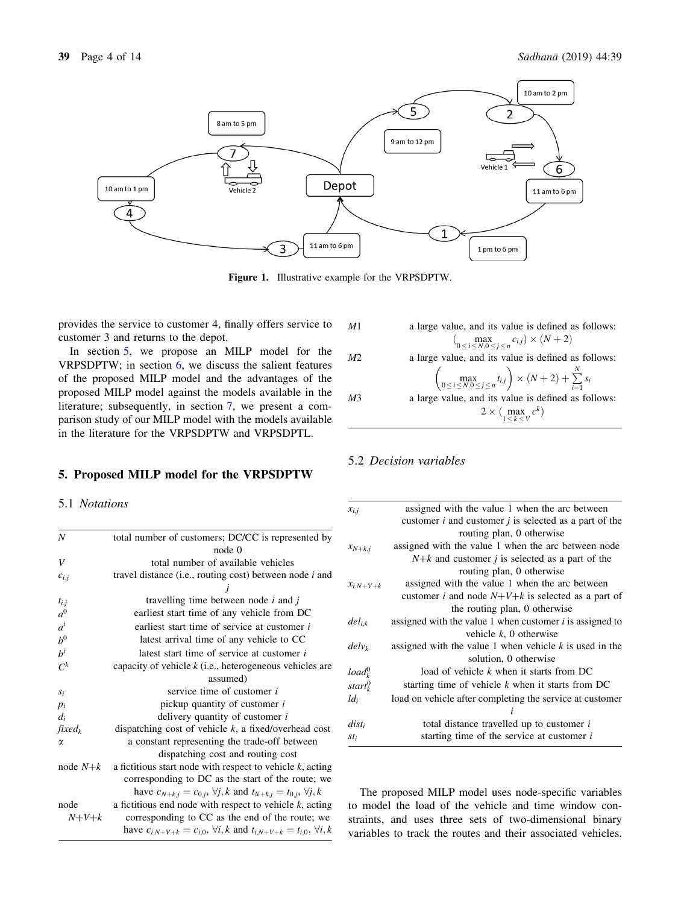<span id="page-3-0"></span>

Figure 1. Illustrative example for the VRPSDPTW.

provides the service to customer 4, finally offers service to customer 3 and returns to the depot.

In section 5, we propose an MILP model for the VRPSDPTW; in section [6,](#page-5-0) we discuss the salient features of the proposed MILP model and the advantages of the proposed MILP model against the models available in the literature; subsequently, in section [7](#page-8-0), we present a comparison study of our MILP model with the models available in the literature for the VRPSDPTW and VRPSDPTL.

## 5. Proposed MILP model for the VRPSDPTW

#### 5.1 Notations

| N          | total number of customers; DC/CC is represented by                                   |
|------------|--------------------------------------------------------------------------------------|
|            | node 0                                                                               |
| V          | total number of available vehicles                                                   |
| $c_{i,j}$  | travel distance (i.e., routing cost) between node $i$ and                            |
|            | $\mathcal I$                                                                         |
| $t_{i,j}$  | travelling time between node $i$ and $j$                                             |
| $a^0$      | earliest start time of any vehicle from DC                                           |
| $a^i$      | earliest start time of service at customer i                                         |
| $b^0$      | latest arrival time of any vehicle to CC                                             |
| $b^i$      | latest start time of service at customer i                                           |
| $C^{k}$    | capacity of vehicle $k$ (i.e., heterogeneous vehicles are                            |
|            | assumed)                                                                             |
| $S_i$      | service time of customer <i>i</i>                                                    |
| $p_i$      | pickup quantity of customer i                                                        |
| $d_i$      | delivery quantity of customer $i$                                                    |
| $fixed_k$  | dispatching cost of vehicle $k$ , a fixed/overhead cost                              |
| α          | a constant representing the trade-off between                                        |
|            | dispatching cost and routing cost                                                    |
| node $N+k$ | a fictitious start node with respect to vehicle $k$ , acting                         |
|            | corresponding to DC as the start of the route; we                                    |
|            | have $c_{N+k,j} = c_{0,j}, \forall j, k$ and $t_{N+k,j} = t_{0,j}, \forall j, k$     |
| node       | a fictitious end node with respect to vehicle $k$ , acting                           |
| $N+V+k$    | corresponding to CC as the end of the route; we                                      |
|            | have $c_{i,N+V+k} = c_{i,0}, \forall i, k$ and $t_{i,N+V+k} = t_{i,0}, \forall i, k$ |

| M1             | a large value, and its value is defined as follows:                                     |
|----------------|-----------------------------------------------------------------------------------------|
|                | $\left(\max_{0 \le i \le N} c_{i,j}\right) \times (N+2)$                                |
| М2             | a large value, and its value is defined as follows:                                     |
|                | $\left(\max_{0\leq i\leq N, 0\leq j\leq n} t_{i,j}\right)\times (N+2)+\sum_{i=1}^N s_i$ |
| M <sup>3</sup> | a large value, and its value is defined as follows:                                     |
|                | $2 \times (\max_{1 \leq k \leq V} c^k)$                                                 |

# 5.2 Decision variables

| $x_{i,j}$            | assigned with the value 1 when the arc between             |
|----------------------|------------------------------------------------------------|
|                      | customer $i$ and customer $j$ is selected as a part of the |
|                      | routing plan, 0 otherwise                                  |
| $x_{N+k,j}$          | assigned with the value 1 when the arc between node        |
|                      | $N+k$ and customer <i>i</i> is selected as a part of the   |
|                      | routing plan, 0 otherwise                                  |
| $x_{i,N+V+k}$        | assigned with the value 1 when the arc between             |
|                      | customer i and node $N+V+k$ is selected as a part of       |
|                      | the routing plan, 0 otherwise                              |
| $del_{i,k}$          | assigned with the value 1 when customer $i$ is assigned to |
|                      | vehicle $k$ , 0 otherwise                                  |
| $delv_k$             | assigned with the value 1 when vehicle $k$ is used in the  |
|                      | solution, 0 otherwise                                      |
| $load_k^0$           | load of vehicle $k$ when it starts from DC                 |
| start $_{\iota}^{0}$ | starting time of vehicle $k$ when it starts from DC        |
| $ld_i$               | load on vehicle after completing the service at customer   |
|                      |                                                            |
| $dist_i$             | total distance travelled up to customer $i$                |
| St <sub>i</sub>      | starting time of the service at customer $i$               |
|                      |                                                            |

The proposed MILP model uses node-specific variables to model the load of the vehicle and time window constraints, and uses three sets of two-dimensional binary variables to track the routes and their associated vehicles.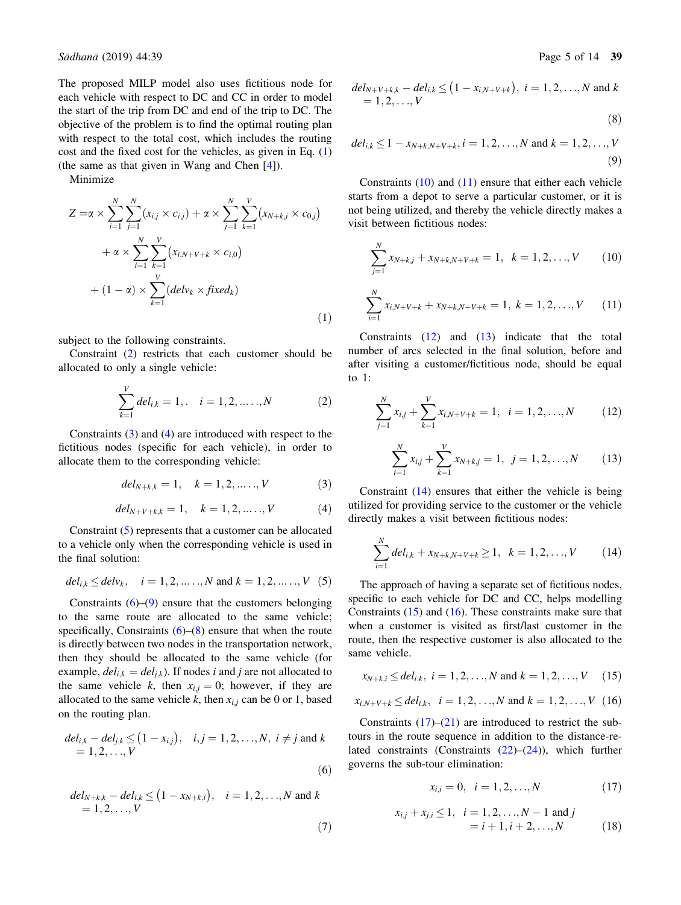<span id="page-4-0"></span>The proposed MILP model also uses fictitious node for each vehicle with respect to DC and CC in order to model the start of the trip from DC and end of the trip to DC. The objective of the problem is to find the optimal routing plan with respect to the total cost, which includes the routing cost and the fixed cost for the vehicles, as given in Eq. (1) (the same as that given in Wang and Chen [\[4](#page-13-0)]).

Minimize

$$
Z = \alpha \times \sum_{i=1}^{N} \sum_{j=1}^{N} (x_{i,j} \times c_{i,j}) + \alpha \times \sum_{j=1}^{N} \sum_{k=1}^{V} (x_{N+k,j} \times c_{0,j}) + \alpha \times \sum_{i=1}^{N} \sum_{k=1}^{V} (x_{i,N+V+k} \times c_{i,0}) + (1 - \alpha) \times \sum_{k=1}^{V} (delv_k \times fixed_k)
$$
\n(1)

subject to the following constraints.

Constraint (2) restricts that each customer should be allocated to only a single vehicle:

$$
\sum_{k=1}^{V} del_{i,k} = 1, \quad i = 1, 2, \dots, N
$$
 (2)

Constraints (3) and (4) are introduced with respect to the fictitious nodes (specific for each vehicle), in order to allocate them to the corresponding vehicle:

$$
del_{N+k,k} = 1, \quad k = 1, 2, \dots, V
$$
 (3)

$$
del_{N+V+k,k} = 1, \quad k = 1, 2, \dots, V \tag{4}
$$

Constraint (5) represents that a customer can be allocated to a vehicle only when the corresponding vehicle is used in the final solution:

$$
del_{i,k} \leq delv_k
$$
,  $i = 1, 2, ..., N$  and  $k = 1, 2, ..., V$  (5)

Constraints  $(6)$ – $(9)$  ensure that the customers belonging to the same route are allocated to the same vehicle; specifically, Constraints  $(6)$ – $(8)$  ensure that when the route is directly between two nodes in the transportation network, then they should be allocated to the same vehicle (for example,  $del_{i,k} = del_{j,k}$ ). If nodes i and j are not allocated to the same vehicle k, then  $x_{i,j} = 0$ ; however, if they are allocated to the same vehicle k, then  $x_{i,j}$  can be 0 or 1, based on the routing plan.

$$
del_{i,k} - del_{j,k} \le (1 - x_{i,j}), \quad i,j = 1,2,...,N, \ i \ne j \text{ and } k
$$
  
= 1,2,...,V (6)

$$
del_{N+k,k} - del_{i,k} \leq (1 - x_{N+k,i}), \quad i = 1, 2, ..., N \text{ and } k = 1, 2, ..., V
$$

 $(7)$ 

$$
del_{N+V+k,k} - del_{i,k} \le (1 - x_{i,N+V+k}), i = 1, 2, ..., N \text{ and } k
$$
  
= 1, 2, ..., V (8)

$$
del_{i,k} \le 1 - x_{N+k,N+V+k}, i = 1, 2, ..., N \text{ and } k = 1, 2, ..., V
$$
\n(9)

Constraints  $(10)$  and  $(11)$  ensure that either each vehicle starts from a depot to serve a particular customer, or it is not being utilized, and thereby the vehicle directly makes a visit between fictitious nodes:

$$
\sum_{j=1}^{N} x_{N+k,j} + x_{N+k,N+V+k} = 1, \quad k = 1, 2, ..., V \qquad (10)
$$

$$
\sum_{i=1}^{N} x_{i,N+V+k} + x_{N+k,N+V+k} = 1, k = 1, 2, ..., V \qquad (11)
$$

Constraints  $(12)$  and  $(13)$  indicate that the total number of arcs selected in the final solution, before and after visiting a customer/fictitious node, should be equal to 1:

$$
\sum_{j=1}^{N} x_{i,j} + \sum_{k=1}^{V} x_{i,N+V+k} = 1, \quad i = 1, 2, ..., N \tag{12}
$$

$$
\sum_{i=1}^{N} x_{i,j} + \sum_{k=1}^{V} x_{N+k,j} = 1, \ \ j = 1, 2, ..., N \qquad (13)
$$

Constraint (14) ensures that either the vehicle is being utilized for providing service to the customer or the vehicle directly makes a visit between fictitious nodes:

$$
\sum_{i=1}^{N} del_{i,k} + x_{N+k,N+V+k} \ge 1, \ \ k = 1, 2, ..., V \qquad (14)
$$

The approach of having a separate set of fictitious nodes, specific to each vehicle for DC and CC, helps modelling Constraints  $(15)$  and  $(16)$ . These constraints make sure that when a customer is visited as first/last customer in the route, then the respective customer is also allocated to the same vehicle.

$$
x_{N+k,i} \leq del_{i,k}, i = 1, 2, ..., N
$$
 and  $k = 1, 2, ..., V$  (15)

$$
x_{i,N+V+k} \leq del_{i,k}, i = 1,2,...,N
$$
 and  $k = 1,2,...,V$  (16)

Constraints  $(17)$ – $(21)$  $(21)$  are introduced to restrict the subtours in the route sequence in addition to the distance-related constraints (Constraints  $(22)$  $(22)$ – $(24)$  $(24)$ ), which further governs the sub-tour elimination:

$$
x_{i,i} = 0, \quad i = 1, 2, \dots, N \tag{17}
$$

$$
x_{i,j} + x_{j,i} \le 1, \quad i = 1, 2, ..., N - 1 \text{ and } j
$$
  
=  $i + 1, i + 2, ..., N$  (18)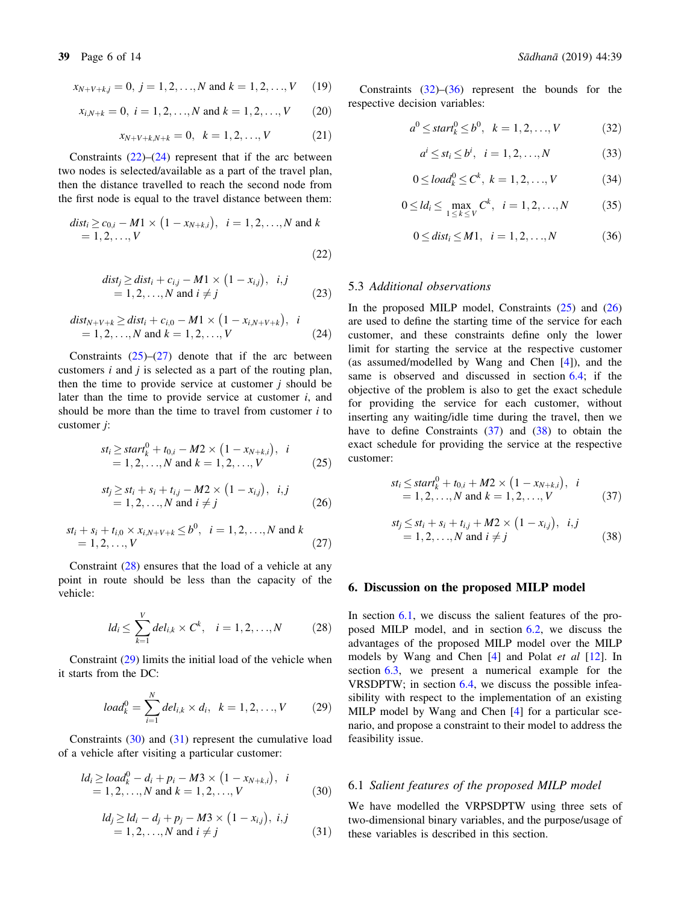<span id="page-5-0"></span>
$$
x_{N+V+k,j} = 0, j = 1, 2, ..., N \text{ and } k = 1, 2, ..., V \quad (19)
$$

$$
x_{i,N+k} = 0, i = 1, 2, ..., N \text{ and } k = 1, 2, ..., V \qquad (20)
$$

$$
x_{N+V+k,N+k} = 0, \ \ k = 1, 2, ..., V \tag{21}
$$

Constraints  $(22)$ – $(24)$  represent that if the arc between two nodes is selected/available as a part of the travel plan, then the distance travelled to reach the second node from the first node is equal to the travel distance between them:

$$
dist_i \ge c_{0,i} - M1 \times (1 - x_{N+k,i}), \quad i = 1, 2, ..., N \text{ and } k
$$
  
= 1, 2, ..., V (22)

$$
distj \geq disti + cij - M1 \times (1 - xij), i, j
$$
  
= 1, 2, ..., N and  $i \neq j$  (23)

$$
dist_{N+V+k} \geq dist_i + c_{i,0} - M1 \times (1 - x_{i,N+V+k}), \quad i
$$
  
= 1, 2, ..., N and  $k = 1, 2, ..., V$  (24)

Constraints  $(25)-(27)$  denote that if the arc between customers  $i$  and  $j$  is selected as a part of the routing plan, then the time to provide service at customer  $j$  should be later than the time to provide service at customer  $i$ , and should be more than the time to travel from customer  $i$  to customer j:

$$
st_i \geq start_k^0 + t_{0,i} - M2 \times (1 - x_{N+k,i}), \quad i = 1, 2, ..., N \text{ and } k = 1, 2, ..., V
$$
 (25)

$$
st_j \ge st_i + s_i + t_{i,j} - M2 \times (1 - x_{i,j}), \quad i, j
$$
  
= 1, 2, ..., N and  $i \ne j$  (26)

$$
st_i + s_i + t_{i,0} \times x_{i,N+V+k} \le b^0, \ \ i = 1,2,...,N \text{ and } k
$$
  
= 1,2,...,V (27)

Constraint (28) ensures that the load of a vehicle at any point in route should be less than the capacity of the vehicle:

$$
ld_i \leq \sum_{k=1}^{V} del_{i,k} \times C^k, \quad i = 1, 2, ..., N \qquad (28)
$$

Constraint (29) limits the initial load of the vehicle when it starts from the DC:

$$
load_k^0 = \sum_{i=1}^N del_{i,k} \times d_i, \ \ k = 1, 2, ..., V \qquad (29)
$$

Constraints  $(30)$  and  $(31)$  represent the cumulative load of a vehicle after visiting a particular customer:

$$
ld_i \geq load_k^0 - d_i + p_i - M3 \times (1 - x_{N+k,i}), \quad i
$$
  
= 1, 2, ..., N and  $k = 1, 2, ..., V$  (30)

$$
ld_j \geq ld_i - d_j + p_j - M3 \times (1 - x_{i,j}), i, j
$$
  
= 1, 2, ..., N and  $i \neq j$  (31)

Constraints  $(32)$ – $(36)$  represent the bounds for the respective decision variables:

$$
a^0 \leq start_k^0 \leq b^0, \ \ k = 1, 2, ..., V \tag{32}
$$

$$
a^i \le st_i \le b^i, \quad i = 1, 2, \dots, N \tag{33}
$$

$$
0 \leq load_k^0 \leq C^k, \ k = 1, 2, ..., V \tag{34}
$$

$$
0 \le l d_i \le \max_{1 \le k \le V} C^k, \ \ i = 1, 2, ..., N \tag{35}
$$

$$
0 \le dist_i \le M1, \ \ i = 1, 2, ..., N \tag{36}
$$

## 5.3 Additional observations

In the proposed MILP model, Constraints  $(25)$  and  $(26)$ are used to define the starting time of the service for each customer, and these constraints define only the lower limit for starting the service at the respective customer (as assumed/modelled by Wang and Chen [\[4](#page-13-0)]), and the same is observed and discussed in section [6.4](#page-6-0); if the objective of the problem is also to get the exact schedule for providing the service for each customer, without inserting any waiting/idle time during the travel, then we have to define Constraints  $(37)$  and  $(38)$  to obtain the exact schedule for providing the service at the respective customer:

$$
st_i \leq starr_k^0 + t_{0,i} + M2 \times (1 - x_{N+k,i}), \quad i
$$
  
= 1, 2, ..., N and  $k = 1, 2, ..., V$  (37)

$$
st_j \le st_i + s_i + t_{i,j} + M2 \times (1 - x_{i,j}), \quad i, j
$$
  
= 1, 2, ..., N and  $i \ne j$  (38)

#### 6. Discussion on the proposed MILP model

In section 6.1, we discuss the salient features of the proposed MILP model, and in section [6.2,](#page-6-0) we discuss the advantages of the proposed MILP model over the MILP models by Wang and Chen [\[4](#page-13-0)] and Polat et al [\[12](#page-13-0)]. In section [6.3,](#page-6-0) we present a numerical example for the VRSDPTW; in section [6.4](#page-6-0), we discuss the possible infeasibility with respect to the implementation of an existing MILP model by Wang and Chen [[4\]](#page-13-0) for a particular scenario, and propose a constraint to their model to address the feasibility issue.

## 6.1 Salient features of the proposed MILP model

We have modelled the VRPSDPTW using three sets of two-dimensional binary variables, and the purpose/usage of these variables is described in this section.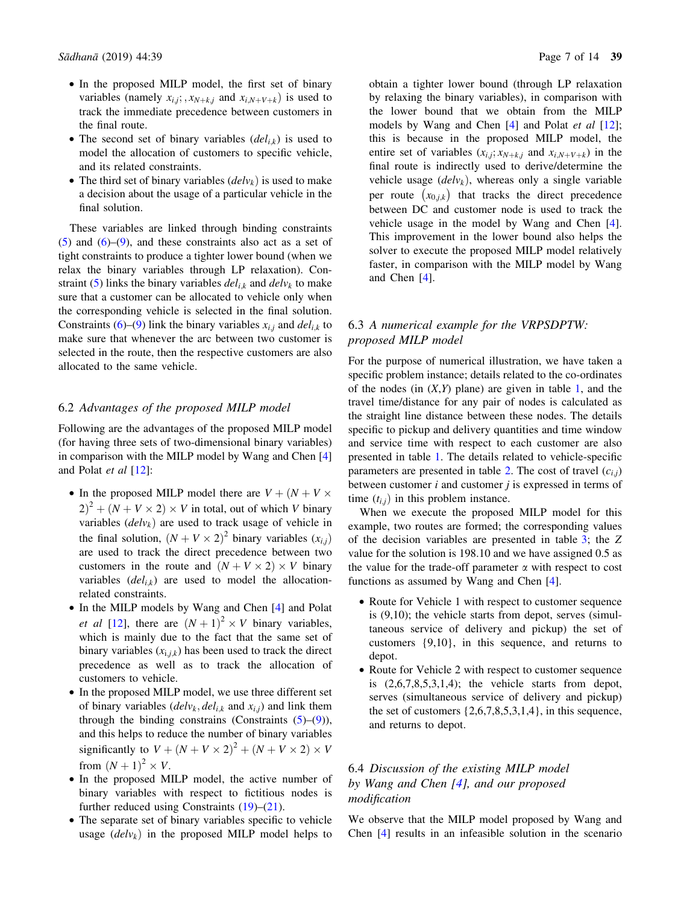- <span id="page-6-0"></span>• In the proposed MILP model, the first set of binary variables (namely  $x_{i,j}$ ;  $x_{N+k,j}$  and  $x_{i,N+V+k}$ ) is used to track the immediate precedence between customers in the final route.
- The second set of binary variables  $(del_{ik})$  is used to model the allocation of customers to specific vehicle, and its related constraints.
- The third set of binary variables  $(delv_k)$  is used to make a decision about the usage of a particular vehicle in the final solution.

These variables are linked through binding constraints  $(5)$  $(5)$  and  $(6)$  $(6)$ – $(9)$  $(9)$ , and these constraints also act as a set of tight constraints to produce a tighter lower bound (when we relax the binary variables through LP relaxation). Con-straint ([5\)](#page-4-0) links the binary variables  $del_{i,k}$  and  $del_{v_k}$  to make sure that a customer can be allocated to vehicle only when the corresponding vehicle is selected in the final solution. Constraints [\(6](#page-4-0))–[\(9](#page-4-0)) link the binary variables  $x_{i,j}$  and  $del_{i,k}$  to make sure that whenever the arc between two customer is selected in the route, then the respective customers are also allocated to the same vehicle.

## 6.2 Advantages of the proposed MILP model

Following are the advantages of the proposed MILP model (for having three sets of two-dimensional binary variables) in comparison with the MILP model by Wang and Chen [\[4](#page-13-0)] and Polat et al [[12\]](#page-13-0):

- In the proposed MILP model there are  $V + (N + V \times$  $2^2 + (N + V \times 2) \times V$  in total, out of which V binary variables  $(delv_k)$  are used to track usage of vehicle in the final solution,  $(N + V \times 2)^2$  binary variables  $(x_{i,j})$ are used to track the direct precedence between two customers in the route and  $(N + V \times 2) \times V$  binary variables  $(del_{i,k})$  are used to model the allocationrelated constraints.
- In the MILP models by Wang and Chen [[4\]](#page-13-0) and Polat *et al* [[12\]](#page-13-0), there are  $(N + 1)^2 \times V$  binary variables, which is mainly due to the fact that the same set of binary variables  $(x_{i,j,k})$  has been used to track the direct precedence as well as to track the allocation of customers to vehicle.
- In the proposed MILP model, we use three different set of binary variables  $(delv_k, del_{i,k}$  and  $x_{i,j})$  and link them through the binding constraints (Constraints  $(5)-(9)$  $(5)-(9)$  $(5)-(9)$  $(5)-(9)$  $(5)-(9)$ ), and this helps to reduce the number of binary variables significantly to  $V + (N + V \times 2)^2 + (N + V \times 2) \times V$ from  $(N+1)^2 \times V$ .
- In the proposed MILP model, the active number of binary variables with respect to fictitious nodes is further reduced using Constraints [\(19](#page-5-0))–([21\)](#page-5-0).
- The separate set of binary variables specific to vehicle usage  $(delv_k)$  in the proposed MILP model helps to

obtain a tighter lower bound (through LP relaxation by relaxing the binary variables), in comparison with the lower bound that we obtain from the MILP models by Wang and Chen [[4\]](#page-13-0) and Polat et al [\[12](#page-13-0)]; this is because in the proposed MILP model, the entire set of variables  $(x_{i,j}; x_{N+k,j}$  and  $x_{i,N+V+k}$ ) in the final route is indirectly used to derive/determine the vehicle usage  $(delv_k)$ , whereas only a single variable per route  $(x_{0,j,k})$  that tracks the direct precedence between DC and customer node is used to track the vehicle usage in the model by Wang and Chen [\[4](#page-13-0)]. This improvement in the lower bound also helps the solver to execute the proposed MILP model relatively faster, in comparison with the MILP model by Wang and Chen [[4\]](#page-13-0).

## 6.3 A numerical example for the VRPSDPTW: proposed MILP model

For the purpose of numerical illustration, we have taken a specific problem instance; details related to the co-ordinates of the nodes (in  $(X, Y)$  plane) are given in table [1,](#page-7-0) and the travel time/distance for any pair of nodes is calculated as the straight line distance between these nodes. The details specific to pickup and delivery quantities and time window and service time with respect to each customer are also presented in table [1](#page-7-0). The details related to vehicle-specific parameters are presented in table [2.](#page-7-0) The cost of travel  $(c_{i,j})$ between customer  $i$  and customer  $j$  is expressed in terms of time  $(t_{i,j})$  in this problem instance.

When we execute the proposed MILP model for this example, two routes are formed; the corresponding values of the decision variables are presented in table [3;](#page-7-0) the Z value for the solution is 198.10 and we have assigned 0.5 as the value for the trade-off parameter  $\alpha$  with respect to cost functions as assumed by Wang and Chen [[4\]](#page-13-0).

- Route for Vehicle 1 with respect to customer sequence is (9,10); the vehicle starts from depot, serves (simultaneous service of delivery and pickup) the set of customers {9,10}, in this sequence, and returns to depot.
- Route for Vehicle 2 with respect to customer sequence is  $(2,6,7,8,5,3,1,4)$ ; the vehicle starts from depot, serves (simultaneous service of delivery and pickup) the set of customers  $\{2,6,7,8,5,3,1,4\}$ , in this sequence, and returns to depot.

# 6.4 Discussion of the existing MILP model by Wang and Chen [\[4\]](#page-13-0), and our proposed modification

We observe that the MILP model proposed by Wang and Chen [\[4](#page-13-0)] results in an infeasible solution in the scenario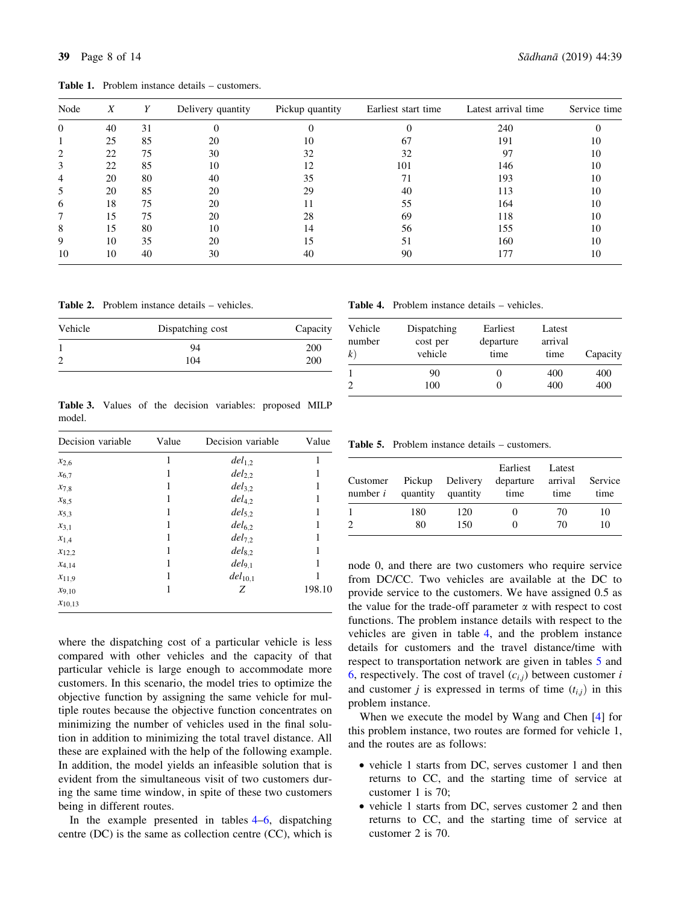| Node           | X  | Y  | Delivery quantity | Pickup quantity | Earliest start time | Latest arrival time | Service time |
|----------------|----|----|-------------------|-----------------|---------------------|---------------------|--------------|
| $\Omega$       | 40 | 31 | 0                 | 0               | $\Omega$            | 240                 |              |
|                | 25 | 85 | 20                | 10              | 67                  | 191                 | 10           |
| 2              | 22 | 75 | 30                | 32              | 32                  | 97                  | 10           |
| 3              | 22 | 85 | 10                | 12              | 101                 | 146                 | 10           |
| $\overline{4}$ | 20 | 80 | 40                | 35              | 71                  | 193                 | 10           |
| 5              | 20 | 85 | 20                | 29              | 40                  | 113                 | 10           |
| 6              | 18 | 75 | 20                |                 | 55                  | 164                 | 10           |
| 7              | 15 | 75 | 20                | 28              | 69                  | 118                 | 10           |
| 8              | 15 | 80 | 10                | 14              | 56                  | 155                 | 10           |
| 9              | 10 | 35 | 20                | 15              | 51                  | 160                 | 10           |
| 10             | 10 | 40 | 30                | 40              | 90                  | 177                 | 10           |

<span id="page-7-0"></span>Table 1. Problem instance details – customers.

Table 2. Problem instance details – vehicles.

| Vehicle | Dispatching cost | Capacity |
|---------|------------------|----------|
|         | 94               | 200      |
|         | 104              | 200      |

Table 3. Values of the decision variables: proposed MILP model.

| Decision variable | Value | Decision variable | Value  |
|-------------------|-------|-------------------|--------|
| $x_{2,6}$         |       | $del_{1,2}$       |        |
| $x_{6,7}$         |       | $del_{2,2}$       |        |
| $x_{7,8}$         | 1     | $del_{3,2}$       |        |
| $x_{8.5}$         | 1     | $del_{4,2}$       |        |
| $x_{5,3}$         | 1     | $del_{5,2}$       |        |
| $x_{3,1}$         | 1     | $del_{6,2}$       |        |
| $x_{1,4}$         | 1     | $del_{7,2}$       |        |
| $x_{12,2}$        | I     | $del_{8,2}$       |        |
| $x_{4,14}$        | 1     | $del_{9,1}$       |        |
| $x_{11,9}$        | 1     | $del_{10.1}$      |        |
| $x_{9,10}$        | 1     | Ζ                 | 198.10 |
| $x_{10,13}$       |       |                   |        |

where the dispatching cost of a particular vehicle is less compared with other vehicles and the capacity of that particular vehicle is large enough to accommodate more customers. In this scenario, the model tries to optimize the objective function by assigning the same vehicle for multiple routes because the objective function concentrates on minimizing the number of vehicles used in the final solution in addition to minimizing the total travel distance. All these are explained with the help of the following example. In addition, the model yields an infeasible solution that is evident from the simultaneous visit of two customers during the same time window, in spite of these two customers being in different routes.

In the example presented in tables 4[–6](#page-8-0), dispatching centre (DC) is the same as collection centre (CC), which is

Table 4. Problem instance details – vehicles.

| Vehicle<br>number<br>k) | Dispatching<br>cost per<br>vehicle | Earliest<br>departure<br>time | Latest<br>arrival<br>time | Capacity |
|-------------------------|------------------------------------|-------------------------------|---------------------------|----------|
|                         | 90                                 |                               | 400                       | 400      |
|                         | 100                                |                               | 400                       | 400      |

Table 5. Problem instance details – customers.

| Customer<br>number $i$ | quantity | Pickup Delivery<br>quantity | Earliest<br>departure<br>time | Latest<br>arrival<br>time | Service<br>time |
|------------------------|----------|-----------------------------|-------------------------------|---------------------------|-----------------|
|                        | 180      | 120                         |                               | 70                        | 10              |
|                        | 80       | 150                         |                               | 70                        | 10              |

node 0, and there are two customers who require service from DC/CC. Two vehicles are available at the DC to provide service to the customers. We have assigned 0.5 as the value for the trade-off parameter  $\alpha$  with respect to cost functions. The problem instance details with respect to the vehicles are given in table 4, and the problem instance details for customers and the travel distance/time with respect to transportation network are given in tables 5 and [6,](#page-8-0) respectively. The cost of travel  $(c_{i,j})$  between customer i and customer j is expressed in terms of time  $(t_{i,j})$  in this problem instance.

When we execute the model by Wang and Chen [[4\]](#page-13-0) for this problem instance, two routes are formed for vehicle 1, and the routes are as follows:

- vehicle 1 starts from DC, serves customer 1 and then returns to CC, and the starting time of service at customer 1 is 70;
- vehicle 1 starts from DC, serves customer 2 and then returns to CC, and the starting time of service at customer 2 is 70.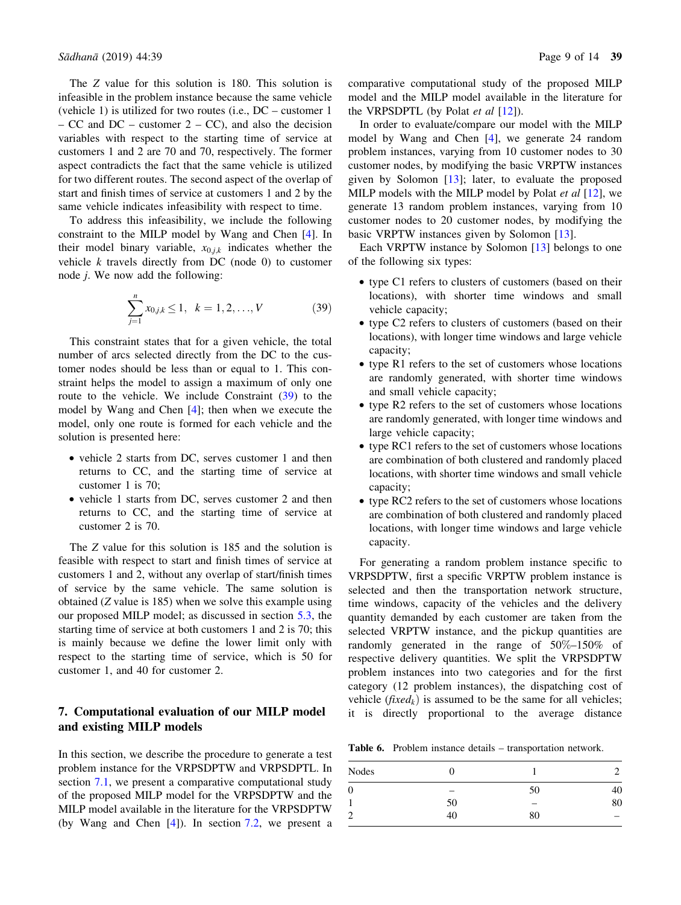<span id="page-8-0"></span>The Z value for this solution is 180. This solution is infeasible in the problem instance because the same vehicle (vehicle 1) is utilized for two routes (i.e., DC – customer 1 – CC and  $DC$  – customer  $2$  – CC), and also the decision variables with respect to the starting time of service at customers 1 and 2 are 70 and 70, respectively. The former aspect contradicts the fact that the same vehicle is utilized for two different routes. The second aspect of the overlap of start and finish times of service at customers 1 and 2 by the same vehicle indicates infeasibility with respect to time.

To address this infeasibility, we include the following constraint to the MILP model by Wang and Chen [\[4](#page-13-0)]. In their model binary variable,  $x_{0,j,k}$  indicates whether the vehicle  $k$  travels directly from DC (node 0) to customer node j. We now add the following:

$$
\sum_{j=1}^{n} x_{0,j,k} \le 1, \quad k = 1, 2, ..., V \tag{39}
$$

This constraint states that for a given vehicle, the total number of arcs selected directly from the DC to the customer nodes should be less than or equal to 1. This constraint helps the model to assign a maximum of only one route to the vehicle. We include Constraint (39) to the model by Wang and Chen [\[4](#page-13-0)]; then when we execute the model, only one route is formed for each vehicle and the solution is presented here:

- vehicle 2 starts from DC, serves customer 1 and then returns to CC, and the starting time of service at customer 1 is 70;
- vehicle 1 starts from DC, serves customer 2 and then returns to CC, and the starting time of service at customer 2 is 70.

The Z value for this solution is 185 and the solution is feasible with respect to start and finish times of service at customers 1 and 2, without any overlap of start/finish times of service by the same vehicle. The same solution is obtained (Z value is 185) when we solve this example using our proposed MILP model; as discussed in section [5.3,](#page-5-0) the starting time of service at both customers 1 and 2 is 70; this is mainly because we define the lower limit only with respect to the starting time of service, which is 50 for customer 1, and 40 for customer 2.

# 7. Computational evaluation of our MILP model and existing MILP models

In this section, we describe the procedure to generate a test problem instance for the VRPSDPTW and VRPSDPTL. In section [7.1](#page-9-0), we present a comparative computational study of the proposed MILP model for the VRPSDPTW and the MILP model available in the literature for the VRPSDPTW (by Wang and Chen [\[4](#page-13-0)]). In section [7.2,](#page-10-0) we present a comparative computational study of the proposed MILP model and the MILP model available in the literature for the VRPSDPTL (by Polat *et al*  $[12]$  $[12]$ ).

In order to evaluate/compare our model with the MILP model by Wang and Chen [\[4](#page-13-0)], we generate 24 random problem instances, varying from 10 customer nodes to 30 customer nodes, by modifying the basic VRPTW instances given by Solomon [[13\]](#page-13-0); later, to evaluate the proposed MILP models with the MILP model by Polat et al  $[12]$  $[12]$ , we generate 13 random problem instances, varying from 10 customer nodes to 20 customer nodes, by modifying the basic VRPTW instances given by Solomon [[13\]](#page-13-0).

Each VRPTW instance by Solomon [[13\]](#page-13-0) belongs to one of the following six types:

- type C1 refers to clusters of customers (based on their locations), with shorter time windows and small vehicle capacity;
- type C2 refers to clusters of customers (based on their locations), with longer time windows and large vehicle capacity;
- type R1 refers to the set of customers whose locations are randomly generated, with shorter time windows and small vehicle capacity;
- type R2 refers to the set of customers whose locations are randomly generated, with longer time windows and large vehicle capacity;
- type RC1 refers to the set of customers whose locations are combination of both clustered and randomly placed locations, with shorter time windows and small vehicle capacity;
- type RC2 refers to the set of customers whose locations are combination of both clustered and randomly placed locations, with longer time windows and large vehicle capacity.

For generating a random problem instance specific to VRPSDPTW, first a specific VRPTW problem instance is selected and then the transportation network structure, time windows, capacity of the vehicles and the delivery quantity demanded by each customer are taken from the selected VRPTW instance, and the pickup quantities are randomly generated in the range of 50%–150% of respective delivery quantities. We split the VRPSDPTW problem instances into two categories and for the first category (12 problem instances), the dispatching cost of vehicle (fixed<sub>k</sub>) is assumed to be the same for all vehicles; it is directly proportional to the average distance

Table 6. Problem instance details – transportation network.

| Nodes          | 0  |    |    |
|----------------|----|----|----|
| $\overline{0}$ | —  | 50 | 40 |
|                | 50 | _  | 80 |
| $\overline{2}$ | 40 | 80 |    |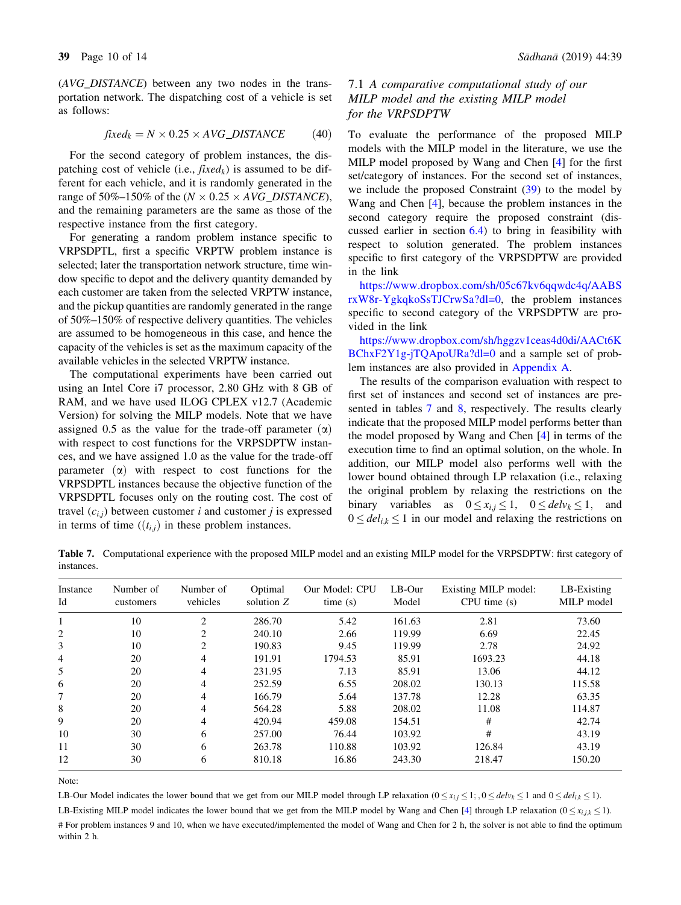<span id="page-9-0"></span>(*AVG DISTANCE*) between any two nodes in the transportation network. The dispatching cost of a vehicle is set as follows:

$$
fixed_k = N \times 0.25 \times AVG\_DISTANCE
$$
 (40)

For the second category of problem instances, the dispatching cost of vehicle (i.e.,  $fixed_k$ ) is assumed to be different for each vehicle, and it is randomly generated in the range of 50%–150% of the ( $N \times 0.25 \times AVG\_DISTANCE$ ), and the remaining parameters are the same as those of the respective instance from the first category.

For generating a random problem instance specific to VRPSDPTL, first a specific VRPTW problem instance is selected; later the transportation network structure, time window specific to depot and the delivery quantity demanded by each customer are taken from the selected VRPTW instance, and the pickup quantities are randomly generated in the range of 50%–150% of respective delivery quantities. The vehicles are assumed to be homogeneous in this case, and hence the capacity of the vehicles is set as the maximum capacity of the available vehicles in the selected VRPTW instance.

The computational experiments have been carried out using an Intel Core i7 processor, 2.80 GHz with 8 GB of RAM, and we have used ILOG CPLEX v12.7 (Academic Version) for solving the MILP models. Note that we have assigned 0.5 as the value for the trade-off parameter  $(\alpha)$ with respect to cost functions for the VRPSDPTW instances, and we have assigned 1.0 as the value for the trade-off parameter  $(\alpha)$  with respect to cost functions for the VRPSDPTL instances because the objective function of the VRPSDPTL focuses only on the routing cost. The cost of travel  $(c_{i,j})$  between customer *i* and customer *j* is expressed in terms of time  $((t_{i,j})$  in these problem instances.

# 7.1 A comparative computational study of our MILP model and the existing MILP model for the VRPSDPTW

To evaluate the performance of the proposed MILP models with the MILP model in the literature, we use the MILP model proposed by Wang and Chen [\[4](#page-13-0)] for the first set/category of instances. For the second set of instances, we include the proposed Constraint  $(39)$  $(39)$  to the model by Wang and Chen [\[4](#page-13-0)], because the problem instances in the second category require the proposed constraint (discussed earlier in section [6.4\)](#page-6-0) to bring in feasibility with respect to solution generated. The problem instances specific to first category of the VRPSDPTW are provided in the link

[https://www.dropbox.com/sh/05c67kv6qqwdc4q/AABS](https://www.dropbox.com/sh/05c67kv6qqwdc4q/AABSrxW8r-YgkqkoSsTJCrwSa?dl=0) [rxW8r-YgkqkoSsTJCrwSa?dl=0](https://www.dropbox.com/sh/05c67kv6qqwdc4q/AABSrxW8r-YgkqkoSsTJCrwSa?dl=0), the problem instances specific to second category of the VRPSDPTW are provided in the link

[https://www.dropbox.com/sh/hggzv1ceas4d0di/AACt6K](https://www.dropbox.com/sh/hggzv1ceas4d0di/AACt6KBChxF2Y1g-jTQApoURa?dl=0) [BChxF2Y1g-jTQApoURa?dl=0](https://www.dropbox.com/sh/hggzv1ceas4d0di/AACt6KBChxF2Y1g-jTQApoURa?dl=0) and a sample set of problem instances are also provided in [Appendix A](#page-11-0).

The results of the comparison evaluation with respect to first set of instances and second set of instances are presented in tables 7 and [8](#page-10-0), respectively. The results clearly indicate that the proposed MILP model performs better than the model proposed by Wang and Chen [[4\]](#page-13-0) in terms of the execution time to find an optimal solution, on the whole. In addition, our MILP model also performs well with the lower bound obtained through LP relaxation (i.e., relaxing the original problem by relaxing the restrictions on the binary variables as  $0 \le x_{i,j} \le 1$ ,  $0 \le delv_k \le 1$ , and  $0 \leq del_{i,k} \leq 1$  in our model and relaxing the restrictions on

Table 7. Computational experience with the proposed MILP model and an existing MILP model for the VRPSDPTW: first category of instances.

| Instance<br>Id | Number of<br>customers | Number of<br>vehicles       | Optimal<br>solution Z | Our Model: CPU<br>time(s) | $LB$ -Our<br>Model | Existing MILP model:<br>CPU time(s) | LB-Existing<br>MILP model |
|----------------|------------------------|-----------------------------|-----------------------|---------------------------|--------------------|-------------------------------------|---------------------------|
|                | 10                     | $\mathfrak{D}$              | 286.70                | 5.42                      | 161.63             | 2.81                                | 73.60                     |
| 2              | 10                     | ↑                           | 240.10                | 2.66                      | 119.99             | 6.69                                | 22.45                     |
| 3              | 10                     | $\mathcal{D}_{\mathcal{L}}$ | 190.83                | 9.45                      | 119.99             | 2.78                                | 24.92                     |
| 4              | 20                     | 4                           | 191.91                | 1794.53                   | 85.91              | 1693.23                             | 44.18                     |
| 5              | 20                     | 4                           | 231.95                | 7.13                      | 85.91              | 13.06                               | 44.12                     |
| 6              | 20                     | 4                           | 252.59                | 6.55                      | 208.02             | 130.13                              | 115.58                    |
| 7              | 20                     | 4                           | 166.79                | 5.64                      | 137.78             | 12.28                               | 63.35                     |
| 8              | 20                     | 4                           | 564.28                | 5.88                      | 208.02             | 11.08                               | 114.87                    |
| 9              | 20                     | 4                           | 420.94                | 459.08                    | 154.51             | #                                   | 42.74                     |
| 10             | 30                     | 6                           | 257.00                | 76.44                     | 103.92             | #                                   | 43.19                     |
| 11             | 30                     | 6                           | 263.78                | 110.88                    | 103.92             | 126.84                              | 43.19                     |
| 12             | 30                     | 6                           | 810.18                | 16.86                     | 243.30             | 218.47                              | 150.20                    |

Note:

LB-Our Model indicates the lower bound that we get from our MILP model through LP relaxation  $(0 \le x_{i,j} \le 1; , 0 \le del_{k} \le 1$  and  $0 \le del_{i,k} \le 1)$ .

LB-Existing MILP model indicates the lower bound that we get from the MILP model by Wang and Chen [\[4](#page-13-0)] through LP relaxation ( $0 \le x_{i,j,k} \le 1$ ). # For problem instances 9 and 10, when we have executed/implemented the model of Wang and Chen for 2 h, the solver is not able to find the optimum within 2 h.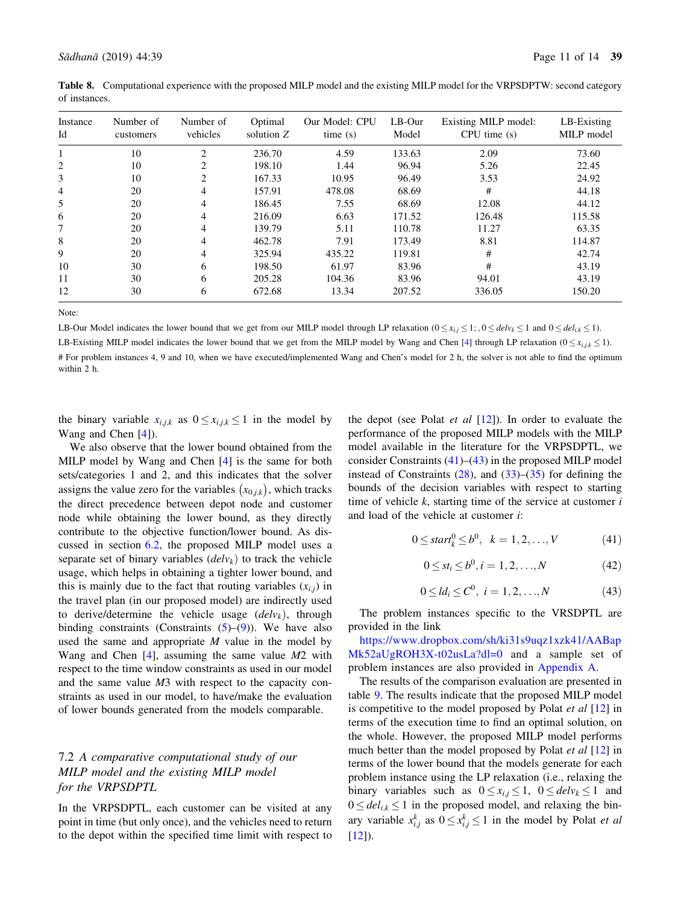<span id="page-10-0"></span>

|               | Table 8. Computational experience with the proposed MILP model and the existing MILP model for the VRPSDPTW: second category |  |
|---------------|------------------------------------------------------------------------------------------------------------------------------|--|
| of instances. |                                                                                                                              |  |

| Instance<br>Id | Number of<br>customers | Number of<br>vehicles | Optimal<br>solution Z | Our Model: CPU<br>time(s) | $LB$ -Our<br>Model | Existing MILP model:<br>CPU time(s) | LB-Existing<br>MILP model |
|----------------|------------------------|-----------------------|-----------------------|---------------------------|--------------------|-------------------------------------|---------------------------|
| 1              | 10                     | $\overline{c}$        | 236.70                | 4.59                      | 133.63             | 2.09                                | 73.60                     |
| 2              | 10                     | 2                     | 198.10                | 1.44                      | 96.94              | 5.26                                | 22.45                     |
| 3              | 10                     | 2                     | 167.33                | 10.95                     | 96.49              | 3.53                                | 24.92                     |
| 4              | 20                     | 4                     | 157.91                | 478.08                    | 68.69              | #                                   | 44.18                     |
| 5              | 20                     | 4                     | 186.45                | 7.55                      | 68.69              | 12.08                               | 44.12                     |
| 6              | 20                     | 4                     | 216.09                | 6.63                      | 171.52             | 126.48                              | 115.58                    |
| 7              | 20                     | 4                     | 139.79                | 5.11                      | 110.78             | 11.27                               | 63.35                     |
| 8              | 20                     | 4                     | 462.78                | 7.91                      | 173.49             | 8.81                                | 114.87                    |
| 9              | 20                     | 4                     | 325.94                | 435.22                    | 119.81             | #                                   | 42.74                     |
| 10             | 30                     | 6                     | 198.50                | 61.97                     | 83.96              | #                                   | 43.19                     |
| 11             | 30                     | 6                     | 205.28                | 104.36                    | 83.96              | 94.01                               | 43.19                     |
| 12             | 30                     | 6                     | 672.68                | 13.34                     | 207.52             | 336.05                              | 150.20                    |

Note:

LB-Our Model indicates the lower bound that we get from our MILP model through LP relaxation  $(0 \le x_{i,j} \le 1; , 0 \le del_{k} \le 1$  and  $0 \le del_{i,k} \le 1)$ .

LB-Existing MILP model indicates the lower bound that we get from the MILP model by Wang and Chen [\[4](#page-13-0)] through LP relaxation ( $0 \le x_{i,j,k} \le 1$ ).

# For problem instances 4, 9 and 10, when we have executed/implemented Wang and Chen's model for 2 h, the solver is not able to find the optimum within 2 h.

the binary variable  $x_{i,j,k}$  as  $0 \le x_{i,j,k} \le 1$  in the model by Wang and Chen [[4\]](#page-13-0)).

We also observe that the lower bound obtained from the MILP model by Wang and Chen [[4\]](#page-13-0) is the same for both sets/categories 1 and 2, and this indicates that the solver assigns the value zero for the variables  $(x_{0,j,k})$ , which tracks the direct precedence between depot node and customer node while obtaining the lower bound, as they directly contribute to the objective function/lower bound. As discussed in section [6.2](#page-6-0), the proposed MILP model uses a separate set of binary variables  $(delv<sub>k</sub>)$  to track the vehicle usage, which helps in obtaining a tighter lower bound, and this is mainly due to the fact that routing variables  $(x_{i,j})$  in the travel plan (in our proposed model) are indirectly used to derive/determine the vehicle usage  $(delv<sub>k</sub>)$ , through binding constraints (Constraints  $(5)-(9)$  $(5)-(9)$  $(5)-(9)$  $(5)-(9)$ ). We have also used the same and appropriate  $M$  value in the model by Wang and Chen  $[4]$  $[4]$  $[4]$ , assuming the same value  $M2$  with respect to the time window constraints as used in our model and the same value M3 with respect to the capacity constraints as used in our model, to have/make the evaluation of lower bounds generated from the models comparable.

# 7.2 A comparative computational study of our MILP model and the existing MILP model for the VRPSDPTL

In the VRPSDPTL, each customer can be visited at any point in time (but only once), and the vehicles need to return to the depot within the specified time limit with respect to

the depot (see Polat *et al*  $[12]$  $[12]$ ). In order to evaluate the performance of the proposed MILP models with the MILP model available in the literature for the VRPSDPTL, we consider Constraints (41)–(43) in the proposed MILP model instead of Constraints  $(28)$  $(28)$ , and  $(33)$  $(33)$ – $(35)$  $(35)$  for defining the bounds of the decision variables with respect to starting time of vehicle  $k$ , starting time of the service at customer  $i$ and load of the vehicle at customer i:

$$
0 \leq start_k^0 \leq b^0, \ \ k = 1, 2, ..., V \tag{41}
$$

$$
0 \le st_i \le b^0, i = 1, 2, ..., N \tag{42}
$$

$$
0 \le l d_i \le C^0, \ i = 1, 2, ..., N \tag{43}
$$

The problem instances specific to the VRSDPTL are provided in the link

[https://www.dropbox.com/sh/ki31s9uqz1xzk41/AABap](https://www.dropbox.com/sh/ki31s9uqz1xzk41/AABapMk52aUgROH3X-t02usLa?dl=0) [Mk52aUgROH3X-t02usLa?dl=0](https://www.dropbox.com/sh/ki31s9uqz1xzk41/AABapMk52aUgROH3X-t02usLa?dl=0) and a sample set of problem instances are also provided in [Appendix A](#page-11-0).

The results of the comparison evaluation are presented in table [9.](#page-11-0) The results indicate that the proposed MILP model is competitive to the model proposed by Polat *et al* [\[12](#page-13-0)] in terms of the execution time to find an optimal solution, on the whole. However, the proposed MILP model performs much better than the model proposed by Polat *et al* [\[12](#page-13-0)] in terms of the lower bound that the models generate for each problem instance using the LP relaxation (i.e., relaxing the binary variables such as  $0 \le x_{i,j} \le 1$ ,  $0 \le \frac{del}{v_k} \le 1$  and  $0 \leq del_{i,k} \leq 1$  in the proposed model, and relaxing the binary variable  $x_{i,j}^k$  as  $0 \le x_{i,j}^k \le 1$  in the model by Polat *et al*  $[12]$  $[12]$ ).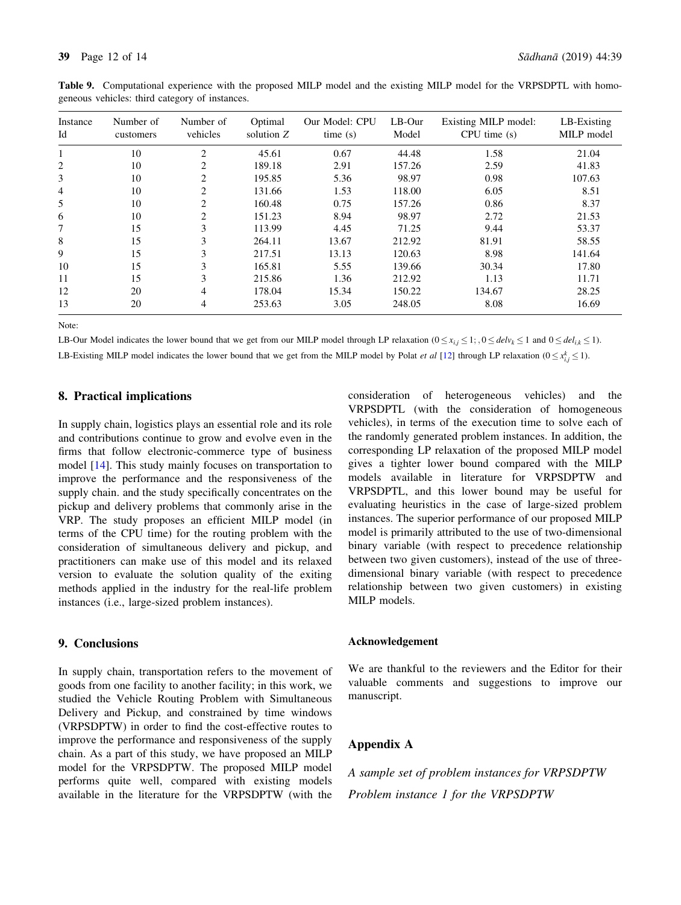<span id="page-11-0"></span>

| Table 9. Computational experience with the proposed MILP model and the existing MILP model for the VRPSDPTL with homo- |  |  |  |  |  |  |  |
|------------------------------------------------------------------------------------------------------------------------|--|--|--|--|--|--|--|
| geneous vehicles: third category of instances.                                                                         |  |  |  |  |  |  |  |

| Instance<br>Id | Number of<br>customers | Number of<br>vehicles | Optimal<br>solution Z | Our Model: CPU<br>time(s) | $LB$ -Our<br>Model | Existing MILP model:<br>CPU time(s) | LB-Existing<br>MILP model |
|----------------|------------------------|-----------------------|-----------------------|---------------------------|--------------------|-------------------------------------|---------------------------|
| 1              | 10                     | $\overline{c}$        | 45.61                 | 0.67                      | 44.48              | 1.58                                | 21.04                     |
| $\overline{2}$ | 10                     | 2                     | 189.18                | 2.91                      | 157.26             | 2.59                                | 41.83                     |
| 3              | 10                     | 2                     | 195.85                | 5.36                      | 98.97              | 0.98                                | 107.63                    |
| 4              | 10                     | $\overline{c}$        | 131.66                | 1.53                      | 118.00             | 6.05                                | 8.51                      |
| 5              | 10                     | 2                     | 160.48                | 0.75                      | 157.26             | 0.86                                | 8.37                      |
| 6              | 10                     | 2                     | 151.23                | 8.94                      | 98.97              | 2.72                                | 21.53                     |
| 7              | 15                     |                       | 113.99                | 4.45                      | 71.25              | 9.44                                | 53.37                     |
| 8              | 15                     | 3                     | 264.11                | 13.67                     | 212.92             | 81.91                               | 58.55                     |
| 9              | 15                     | 3                     | 217.51                | 13.13                     | 120.63             | 8.98                                | 141.64                    |
| 10             | 15                     | 3                     | 165.81                | 5.55                      | 139.66             | 30.34                               | 17.80                     |
| 11             | 15                     |                       | 215.86                | 1.36                      | 212.92             | 1.13                                | 11.71                     |
| 12             | 20                     | 4                     | 178.04                | 15.34                     | 150.22             | 134.67                              | 28.25                     |
| 13             | 20                     | 4                     | 253.63                | 3.05                      | 248.05             | 8.08                                | 16.69                     |

Note:

LB-Our Model indicates the lower bound that we get from our MILP model through LP relaxation  $(0 \le x_{i,j} \le 1; , 0 \le del_{k} \le 1$  and  $0 \le del_{i,k} \le 1)$ .

LB-Existing MILP model indicates the lower bound that we get from the MILP model by Polat *et al* [\[12](#page-13-0)] through LP relaxation ( $0 \le x_{i,j}^k \le 1$ ).

## 8. Practical implications

In supply chain, logistics plays an essential role and its role and contributions continue to grow and evolve even in the firms that follow electronic-commerce type of business model [\[14](#page-13-0)]. This study mainly focuses on transportation to improve the performance and the responsiveness of the supply chain. and the study specifically concentrates on the pickup and delivery problems that commonly arise in the VRP. The study proposes an efficient MILP model (in terms of the CPU time) for the routing problem with the consideration of simultaneous delivery and pickup, and practitioners can make use of this model and its relaxed version to evaluate the solution quality of the exiting methods applied in the industry for the real-life problem instances (i.e., large-sized problem instances).

## 9. Conclusions

In supply chain, transportation refers to the movement of goods from one facility to another facility; in this work, we studied the Vehicle Routing Problem with Simultaneous Delivery and Pickup, and constrained by time windows (VRPSDPTW) in order to find the cost-effective routes to improve the performance and responsiveness of the supply chain. As a part of this study, we have proposed an MILP model for the VRPSDPTW. The proposed MILP model performs quite well, compared with existing models available in the literature for the VRPSDPTW (with the consideration of heterogeneous vehicles) and the VRPSDPTL (with the consideration of homogeneous vehicles), in terms of the execution time to solve each of the randomly generated problem instances. In addition, the corresponding LP relaxation of the proposed MILP model gives a tighter lower bound compared with the MILP models available in literature for VRPSDPTW and VRPSDPTL, and this lower bound may be useful for evaluating heuristics in the case of large-sized problem instances. The superior performance of our proposed MILP model is primarily attributed to the use of two-dimensional binary variable (with respect to precedence relationship between two given customers), instead of the use of threedimensional binary variable (with respect to precedence relationship between two given customers) in existing MILP models.

## Acknowledgement

We are thankful to the reviewers and the Editor for their valuable comments and suggestions to improve our manuscript.

# Appendix A

A sample set of problem instances for VRPSDPTW Problem instance 1 for the VRPSDPTW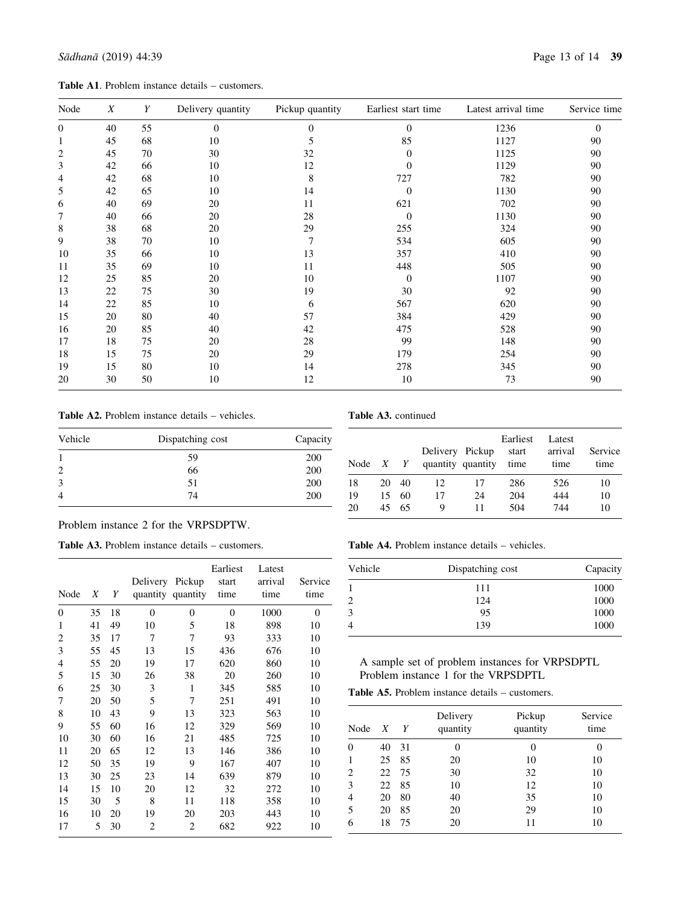| Node           | X  | Y  | Delivery quantity | Pickup quantity | Earliest start time | Latest arrival time | Service time |
|----------------|----|----|-------------------|-----------------|---------------------|---------------------|--------------|
| $\overline{0}$ | 40 | 55 | $\theta$          | $\Omega$        | $\Omega$            | 1236                | $\Omega$     |
| 1              | 45 | 68 | 10                | 5               | 85                  | 1127                | 90           |
| 2              | 45 | 70 | 30                | 32              | 0                   | 1125                | 90           |
| 3              | 42 | 66 | 10                | 12              | $\Omega$            | 1129                | 90           |
| 4              | 42 | 68 | 10                | 8               | 727                 | 782                 | 90           |
| 5              | 42 | 65 | 10                | 14              | $\overline{0}$      | 1130                | 90           |
| 6              | 40 | 69 | 20                | 11              | 621                 | 702                 | 90           |
| 7              | 40 | 66 | 20                | 28              | $\Omega$            | 1130                | 90           |
| 8              | 38 | 68 | 20                | 29              | 255                 | 324                 | 90           |
| 9              | 38 | 70 | 10                | 7               | 534                 | 605                 | 90           |
| 10             | 35 | 66 | 10                | 13              | 357                 | 410                 | 90           |
| 11             | 35 | 69 | 10                | 11              | 448                 | 505                 | 90           |
| 12             | 25 | 85 | 20                | 10              | $\Omega$            | 1107                | 90           |
| 13             | 22 | 75 | 30                | 19              | 30                  | 92                  | 90           |
| 14             | 22 | 85 | 10                | 6               | 567                 | 620                 | 90           |
| 15             | 20 | 80 | 40                | 57              | 384                 | 429                 | 90           |
| 16             | 20 | 85 | 40                | 42              | 475                 | 528                 | 90           |
| 17             | 18 | 75 | 20                | 28              | 99                  | 148                 | 90           |
| 18             | 15 | 75 | 20                | 29              | 179                 | 254                 | 90           |
| 19             | 15 | 80 | 10                | 14              | 278                 | 345                 | 90           |
| 20             | 30 | 50 | 10                | 12              | 10                  | 73                  | 90           |

Table A2. Problem instance details – vehicles.

| Vehicle        | Dispatching cost | Capacity |
|----------------|------------------|----------|
| 1              | 59               | 200      |
| $\overline{2}$ | 66               | 200      |
| 3              | 51               | 200      |
| $\overline{4}$ | 74               | 200      |

|  |  | <b>Table A3.</b> continued |
|--|--|----------------------------|
|--|--|----------------------------|

| ty | Node $X$ $Y$ |    |                        | Delivery Pickup | quantity quantity time | Earliest<br>start | Latest<br>arrival<br>time | Service<br>time |
|----|--------------|----|------------------------|-----------------|------------------------|-------------------|---------------------------|-----------------|
|    | 18<br>19     |    | 20 40<br>$15 \quad 60$ | 12<br>17        | 17<br>24               | 286<br>204        | 526<br>444                | 10<br>10        |
|    | 20           | 45 | 65                     | Q               | 11                     | 504               | 744                       | 10              |

## Problem instance 2 for the VRPSDPTW.

Table A3. Problem instance details – customers.

| Node         | X  | Y  | Delivery Pickup | quantity quantity | Earliest<br>start<br>time | Latest<br>arrival<br>time | Service<br>time |
|--------------|----|----|-----------------|-------------------|---------------------------|---------------------------|-----------------|
| $\mathbf{0}$ | 35 | 18 | $\overline{0}$  | $\overline{0}$    | $\overline{0}$            | 1000                      | $\overline{0}$  |
| 1            | 41 | 49 | 10              | 5                 | 18                        | 898                       | 10              |
| 2            | 35 | 17 | 7               | 7                 | 93                        | 333                       | 10              |
| 3            | 55 | 45 | 13              | 15                | 436                       | 676                       | 10              |
| 4            | 55 | 20 | 19              | 17                | 620                       | 860                       | 10              |
| 5            | 15 | 30 | 26              | 38                | 20                        | 260                       | 10              |
| 6            | 25 | 30 | 3               | 1                 | 345                       | 585                       | 10              |
| 7            | 20 | 50 | 5               | 7                 | 251                       | 491                       | 10              |
| 8            | 10 | 43 | 9               | 13                | 323                       | 563                       | 10              |
| 9            | 55 | 60 | 16              | 12                | 329                       | 569                       | 10              |
| 10           | 30 | 60 | 16              | 21                | 485                       | 725                       | 10              |
| 11           | 20 | 65 | 12              | 13                | 146                       | 386                       | 10              |
| 12           | 50 | 35 | 19              | 9                 | 167                       | 407                       | 10              |
| 13           | 30 | 25 | 23              | 14                | 639                       | 879                       | 10              |
| 14           | 15 | 10 | 20              | 12                | 32                        | 272                       | 10              |
| 15           | 30 | 5  | 8               | 11                | 118                       | 358                       | 10              |
| 16           | 10 | 20 | 19              | 20                | 203                       | 443                       | 10              |
| 17           | 5  | 30 | 2               | $\overline{2}$    | 682                       | 922                       | 10              |

Table A4. Problem instance details – vehicles.

| Vehicle | Dispatching cost | Capacity |  |
|---------|------------------|----------|--|
|         | 111              | 1000     |  |
|         | 124              | 1000     |  |
| 3       | 95               | 1000     |  |
|         | 139              | 1000     |  |

A sample set of problem instances for VRPSDPTL Problem instance 1 for the VRPSDPTL

Table A5. Problem instance details – customers.

| Node           | X  | Y  | Delivery<br>quantity | Pickup<br>quantity | Service<br>time |
|----------------|----|----|----------------------|--------------------|-----------------|
| $\theta$       | 40 | 31 | 0                    | 0                  |                 |
| $\mathbf{1}$   | 25 | 85 | 20                   | 10                 | 10              |
| $\overline{2}$ | 22 | 75 | 30                   | 32                 | 10              |
| 3              | 22 | 85 | 10                   | 12                 | 10              |
| $\overline{4}$ | 20 | 80 | 40                   | 35                 | 10              |
| 5              | 20 | 85 | 20                   | 29                 | 10              |
| 6              | 18 | 75 | 20                   | 11                 | 10              |